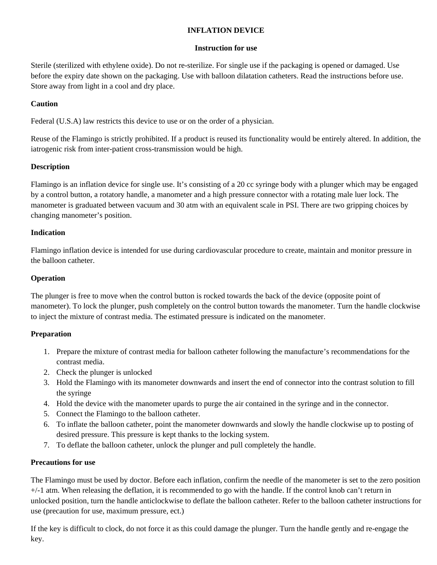## **INFLATION DEVICE**

#### **Instruction for use**

Sterile (sterilized with ethylene oxide). Do not re-sterilize. For single use if the packaging is opened or damaged. Use before the expiry date shown on the packaging. Use with balloon dilatation catheters. Read the instructions before use. Store away from light in a cool and dry place.

## **Caution**

Federal (U.S.A) law restricts this device to use or on the order of a physician.

Reuse of the Flamingo is strictly prohibited. If a product is reused its functionality would be entirely altered. In addition, the iatrogenic risk from inter-patient cross-transmission would be high.

### **Description**

Flamingo is an inflation device for single use. It's consisting of a 20 cc syringe body with a plunger which may be engaged by a control button, a rotatory handle, a manometer and a high pressure connector with a rotating male luer lock. The manometer is graduated between vacuum and 30 atm with an equivalent scale in PSI. There are two gripping choices by changing manometer's position.

### **Indication**

Flamingo inflation device is intended for use during cardiovascular procedure to create, maintain and monitor pressure in the balloon catheter.

### **Operation**

The plunger is free to move when the control button is rocked towards the back of the device (opposite point of manometer). To lock the plunger, push completely on the control button towards the manometer. Turn the handle clockwise to inject the mixture of contrast media. The estimated pressure is indicated on the manometer.

# **Preparation**

- 1. Prepare the mixture of contrast media for balloon catheter following the manufacture's recommendations for the contrast media.
- 2. Check the plunger is unlocked
- 3. Hold the Flamingo with its manometer downwards and insert the end of connector into the contrast solution to fill the syringe
- 4. Hold the device with the manometer upards to purge the air contained in the syringe and in the connector.
- 5. Connect the Flamingo to the balloon catheter.
- 6. To inflate the balloon catheter, point the manometer downwards and slowly the handle clockwise up to posting of desired pressure. This pressure is kept thanks to the locking system.
- 7. To deflate the balloon catheter, unlock the plunger and pull completely the handle.

#### **Precautions for use**

The Flamingo must be used by doctor. Before each inflation, confirm the needle of the manometer is set to the zero position +/-1 atm. When releasing the deflation, it is recommended to go with the handle. If the control knob can't return in unlocked position, turn the handle anticlockwise to deflate the balloon catheter. Refer to the balloon catheter instructions for use (precaution for use, maximum pressure, ect.)

If the key is difficult to clock, do not force it as this could damage the plunger. Turn the handle gently and re-engage the key.